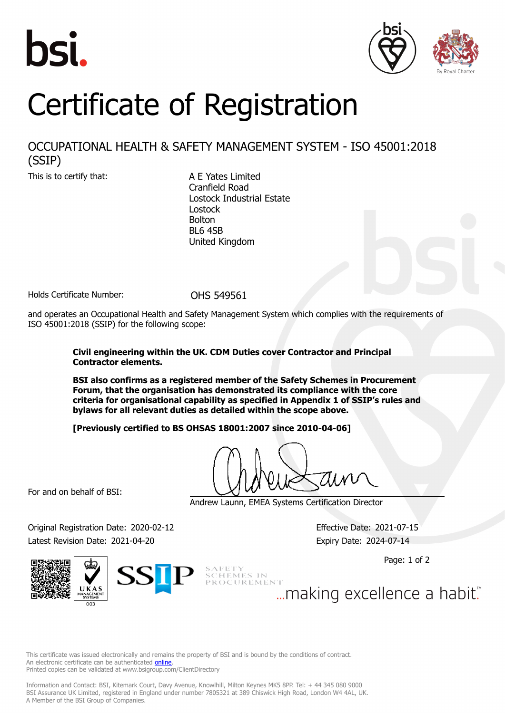





## Certificate of Registration

## OCCUPATIONAL HEALTH & SAFETY MANAGEMENT SYSTEM - ISO 45001:2018 (SSIP)

This is to certify that: A E Yates Limited

Cranfield Road Lostock Industrial Estate Lostock Bolton BL6 4SB United Kingdom

Holds Certificate Number: 0HS 549561

and operates an Occupational Health and Safety Management System which complies with the requirements of ISO 45001:2018 (SSIP) for the following scope:

## **Civil engineering within the UK. CDM Duties cover Contractor and Principal Contractor elements.**

**BSI also confirms as a registered member of the Safety Schemes in Procurement Forum, that the organisation has demonstrated its compliance with the core criteria for organisational capability as specified in Appendix 1 of SSIP's rules and bylaws for all relevant duties as detailed within the scope above.**

**[Previously certified to BS OHSAS 18001:2007 since 2010-04-06]**

For and on behalf of BSI:

Andrew Launn, EMEA Systems Certification Director

Original Registration Date: 2020-02-12 Effective Date: 2021-07-15 Latest Revision Date: 2021-04-20 **Expiry Date: 2024-07-14** 

Page: 1 of 2



SCHEMES IN<br>PROCUREMENT ... making excellence a habit."

This certificate was issued electronically and remains the property of BSI and is bound by the conditions of contract. An electronic certificate can be authenticated **[online](https://pgplus.bsigroup.com/CertificateValidation/CertificateValidator.aspx?CertificateNumber=OHS+549561&ReIssueDate=20%2f04%2f2021&Template=uk)**. Printed copies can be validated at www.bsigroup.com/ClientDirectory

Information and Contact: BSI, Kitemark Court, Davy Avenue, Knowlhill, Milton Keynes MK5 8PP. Tel: + 44 345 080 9000 BSI Assurance UK Limited, registered in England under number 7805321 at 389 Chiswick High Road, London W4 4AL, UK. A Member of the BSI Group of Companies.